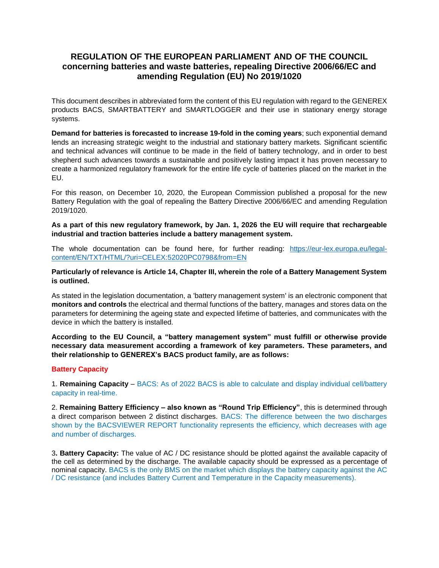# **REGULATION OF THE EUROPEAN PARLIAMENT AND OF THE COUNCIL concerning batteries and waste batteries, repealing Directive 2006/66/EC and amending Regulation (EU) No 2019/1020**

This document describes in abbreviated form the content of this EU regulation with regard to the GENEREX products BACS, SMARTBATTERY and SMARTLOGGER and their use in stationary energy storage systems.

**Demand for batteries is forecasted to increase 19-fold in the coming years**; such exponential demand lends an increasing strategic weight to the industrial and stationary battery markets. Significant scientific and technical advances will continue to be made in the field of battery technology, and in order to best shepherd such advances towards a sustainable and positively lasting impact it has proven necessary to create a harmonized regulatory framework for the entire life cycle of batteries placed on the market in the EU.

For this reason, on December 10, 2020, the European Commission published a proposal for the new Battery Regulation with the goal of repealing the Battery Directive 2006/66/EC and amending Regulation 2019/1020.

**As a part of this new regulatory framework, by Jan. 1, 2026 the EU will require that rechargeable industrial and traction batteries include a battery management system.**

The whole documentation can be found here, for further reading: [https://eur-lex.europa.eu/legal](https://eur-lex.europa.eu/legal-content/EN/TXT/HTML/?uri=CELEX:52020PC0798&from=EN)[content/EN/TXT/HTML/?uri=CELEX:52020PC0798&from=EN](https://eur-lex.europa.eu/legal-content/EN/TXT/HTML/?uri=CELEX:52020PC0798&from=EN)

### **Particularly of relevance is Article 14, Chapter III, wherein the role of a Battery Management System is outlined.**

As stated in the legislation documentation, a 'battery management system' is an electronic component that **monitors and controls** the electrical and thermal functions of the battery, manages and stores data on the parameters for determining the ageing state and expected lifetime of batteries, and communicates with the device in which the battery is installed.

**According to the EU Council, a "battery management system" must fulfill or otherwise provide necessary data measurement according a framework of key parameters. These parameters, and their relationship to GENEREX's BACS product family, are as follows:**

### **Battery Capacity**

1. **Remaining Capacity** – BACS: As of 2022 BACS is able to calculate and display individual cell/battery capacity in real-time.

2. **Remaining Battery Efficiency – also known as "Round Trip Efficiency"**, this is determined through a direct comparison between 2 distinct discharges. BACS: The difference between the two discharges shown by the BACSVIEWER REPORT functionality represents the efficiency, which decreases with age and number of discharges.

3**. Battery Capacity:** The value of AC / DC resistance should be plotted against the available capacity of the cell as determined by the discharge. The available capacity should be expressed as a percentage of nominal capacity. BACS is the only BMS on the market which displays the battery capacity against the AC / DC resistance (and includes Battery Current and Temperature in the Capacity measurements).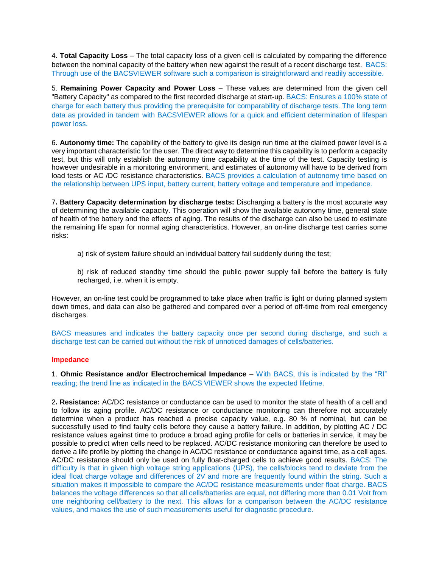4. **Total Capacity Loss** – The total capacity loss of a given cell is calculated by comparing the difference between the nominal capacity of the battery when new against the result of a recent discharge test. BACS: Through use of the BACSVIEWER software such a comparison is straightforward and readily accessible.

5. **Remaining Power Capacity and Power Loss** – These values are determined from the given cell "Battery Capacity" as compared to the first recorded discharge at start-up. BACS: Ensures a 100% state of charge for each battery thus providing the prerequisite for comparability of discharge tests. The long term data as provided in tandem with BACSVIEWER allows for a quick and efficient determination of lifespan power loss.

6. **Autonomy time:** The capability of the battery to give its design run time at the claimed power level is a very important characteristic for the user. The direct way to determine this capability is to perform a capacity test, but this will only establish the autonomy time capability at the time of the test. Capacity testing is however undesirable in a monitoring environment, and estimates of autonomy will have to be derived from load tests or AC /DC resistance characteristics. BACS provides a calculation of autonomy time based on the relationship between UPS input, battery current, battery voltage and temperature and impedance.

7**. Battery Capacity determination by discharge tests:** Discharging a battery is the most accurate way of determining the available capacity. This operation will show the available autonomy time, general state of health of the battery and the effects of aging. The results of the discharge can also be used to estimate the remaining life span for normal aging characteristics. However, an on-line discharge test carries some risks:

a) risk of system failure should an individual battery fail suddenly during the test;

b) risk of reduced standby time should the public power supply fail before the battery is fully recharged, i.e. when it is empty.

However, an on-line test could be programmed to take place when traffic is light or during planned system down times, and data can also be gathered and compared over a period of off-time from real emergency discharges.

BACS measures and indicates the battery capacity once per second during discharge, and such a discharge test can be carried out without the risk of unnoticed damages of cells/batteries.

### **Impedance**

1. **Ohmic Resistance and/or Electrochemical Impedance** – With BACS, this is indicated by the "RI" reading; the trend line as indicated in the BACS VIEWER shows the expected lifetime.

2**. Resistance:** AC/DC resistance or conductance can be used to monitor the state of health of a cell and to follow its aging profile. AC/DC resistance or conductance monitoring can therefore not accurately determine when a product has reached a precise capacity value, e.g. 80 % of nominal, but can be successfully used to find faulty cells before they cause a battery failure. In addition, by plotting AC / DC resistance values against time to produce a broad aging profile for cells or batteries in service, it may be possible to predict when cells need to be replaced. AC/DC resistance monitoring can therefore be used to derive a life profile by plotting the change in AC/DC resistance or conductance against time, as a cell ages. AC/DC resistance should only be used on fully float-charged cells to achieve good results. BACS: The difficulty is that in given high voltage string applications (UPS), the cells/blocks tend to deviate from the ideal float charge voltage and differences of 2V and more are frequently found within the string. Such a situation makes it impossible to compare the AC/DC resistance measurements under float charge. BACS balances the voltage differences so that all cells/batteries are equal, not differing more than 0.01 Volt from one neighboring cell/battery to the next. This allows for a comparison between the AC/DC resistance values, and makes the use of such measurements useful for diagnostic procedure.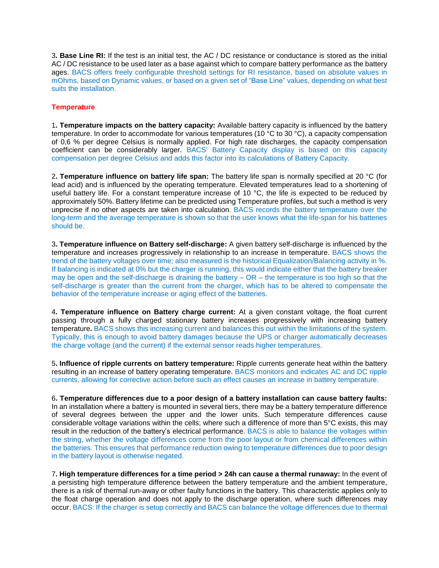3**. Base Line RI:** If the test is an initial test, the AC / DC resistance or conductance is stored as the initial AC / DC resistance to be used later as a base against which to compare battery performance as the battery ages. BACS offers freely configurable threshold settings for RI resistance, based on absolute values in mOhms, based on Dynamic values, or based on a given set of "Base Line" values, depending on what best suits the installation.

## **Temperature**

1**. Temperature impacts on the battery capacity:** Available battery capacity is influenced by the battery temperature. In order to accommodate for various temperatures (10 °C to 30 °C), a capacity compensation of 0,6 % per degree Celsius is normally applied. For high rate discharges, the capacity compensation coefficient can be considerably larger. BACS' Battery Capacity display is based on this capacity compensation per degree Celsius and adds this factor into its calculations of Battery Capacity.

2**. Temperature influence on battery life span:** The battery life span is normally specified at 20 °C (for lead acid) and is influenced by the operating temperature. Elevated temperatures lead to a shortening of useful battery life. For a constant temperature increase of 10 °C, the life is expected to be reduced by approximately 50%. Battery lifetime can be predicted using Temperature profiles, but such a method is very unprecise if no other aspects are taken into calculation. BACS records the battery temperature over the long-term and the average temperature is shown so that the user knows what the life-span for his batteries should be.

3**. Temperature influence on Battery self-discharge:** A given battery self-discharge is influenced by the temperature and increases progressively in relationship to an increase in temperature. BACS shows the trend of the battery voltages over time; also measured is the historical Equalization/Balancing activity in %. If balancing is indicated at 0% but the charger is running, this would indicate either that the battery breaker may be open and the self-discharge is draining the battery – OR – the temperature is too high so that the self-discharge is greater than the current from the charger, which has to be altered to compensate the behavior of the temperature increase or aging effect of the batteries.

4**. Temperature influence on Battery charge current:** At a given constant voltage, the float current passing through a fully charged stationary battery increases progressively with increasing battery temperature**.** BACS shows this increasing current and balances this out within the limitations of the system. Typically, this is enough to avoid battery damages because the UPS or charger automatically decreases the charge voltage (and the current) if the external sensor reads higher temperatures.

5**. Influence of ripple currents on battery temperature:** Ripple currents generate heat within the battery resulting in an increase of battery operating temperature. BACS monitors and indicates AC and DC ripple currents, allowing for corrective action before such an effect causes an increase in battery temperature.

6**. Temperature differences due to a poor design of a battery installation can cause battery faults:** In an installation where a battery is mounted in several tiers, there may be a battery temperature difference of several degrees between the upper and the lower units. Such temperature differences cause considerable voltage variations within the cells; where such a difference of more than 5°C exists, this may result in the reduction of the battery's electrical performance. BACS is able to balance the voltages within the string, whether the voltage differences come from the poor layout or from chemical differences within the batteries. This ensures that performance reduction owing to temperature differences due to poor design in the battery layout is otherwise negated.

7**. High temperature differences for a time period > 24h can cause a thermal runaway:** In the event of a persisting high temperature difference between the battery temperature and the ambient temperature, there is a risk of thermal run-away or other faulty functions in the battery. This characteristic applies only to the float charge operation and does not apply to the discharge operation, where such differences may occur. BACS: If the charger is setup correctly and BACS can balance the voltage differences due to thermal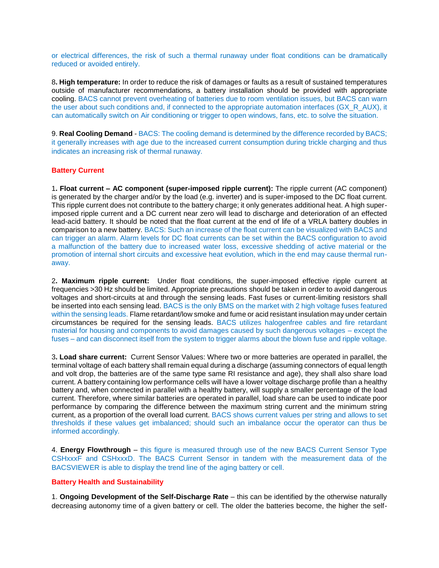or electrical differences, the risk of such a thermal runaway under float conditions can be dramatically reduced or avoided entirely.

8**. High temperature:** In order to reduce the risk of damages or faults as a result of sustained temperatures outside of manufacturer recommendations, a battery installation should be provided with appropriate cooling. BACS cannot prevent overheating of batteries due to room ventilation issues, but BACS can warn the user about such conditions and, if connected to the appropriate automation interfaces (GX\_R\_AUX), it can automatically switch on Air conditioning or trigger to open windows, fans, etc. to solve the situation.

9. **Real Cooling Demand** - BACS: The cooling demand is determined by the difference recorded by BACS; it generally increases with age due to the increased current consumption during trickle charging and thus indicates an increasing risk of thermal runaway.

### **Battery Current**

1**. Float current – AC component (super-imposed ripple current):** The ripple current (AC component) is generated by the charger and/or by the load (e.g. inverter) and is super-imposed to the DC float current. This ripple current does not contribute to the battery charge; it only generates additional heat. A high superimposed ripple current and a DC current near zero will lead to discharge and deterioration of an effected lead-acid battery. It should be noted that the float current at the end of life of a VRLA battery doubles in comparison to a new battery. BACS: Such an increase of the float current can be visualized with BACS and can trigger an alarm. Alarm levels for DC float currents can be set within the BACS configuration to avoid a malfunction of the battery due to increased water loss, excessive shedding of active material or the promotion of internal short circuits and excessive heat evolution, which in the end may cause thermal runaway.

2**. Maximum ripple current:** Under float conditions, the super-imposed effective ripple current at frequencies >30 Hz should be limited. Appropriate precautions should be taken in order to avoid dangerous voltages and short-circuits at and through the sensing leads. Fast fuses or current-limiting resistors shall be inserted into each sensing lead. BACS is the only BMS on the market with 2 high voltage fuses featured within the sensing leads. Flame retardant/low smoke and fume or acid resistant insulation may under certain circumstances be required for the sensing leads. BACS utilizes halogenfree cables and fire retardant material for housing and components to avoid damages caused by such dangerous voltages – except the fuses – and can disconnect itself from the system to trigger alarms about the blown fuse and ripple voltage.

3**. Load share current:** Current Sensor Values: Where two or more batteries are operated in parallel, the terminal voltage of each battery shall remain equal during a discharge (assuming connectors of equal length and volt drop, the batteries are of the same type same RI resistance and age), they shall also share load current. A battery containing low performance cells will have a lower voltage discharge profile than a healthy battery and, when connected in parallel with a healthy battery, will supply a smaller percentage of the load current. Therefore, where similar batteries are operated in parallel, load share can be used to indicate poor performance by comparing the difference between the maximum string current and the minimum string current, as a proportion of the overall load current. BACS shows current values per string and allows to set thresholds if these values get imbalanced; should such an imbalance occur the operator can thus be informed accordingly.

4. **Energy Flowthrough** – this figure is measured through use of the new BACS Current Sensor Type CSHxxxF and CSHxxxD. The BACS Current Sensor in tandem with the measurement data of the BACSVIEWER is able to display the trend line of the aging battery or cell.

#### **Battery Health and Sustainability**

1. **Ongoing Development of the Self-Discharge Rate** – this can be identified by the otherwise naturally decreasing autonomy time of a given battery or cell. The older the batteries become, the higher the self